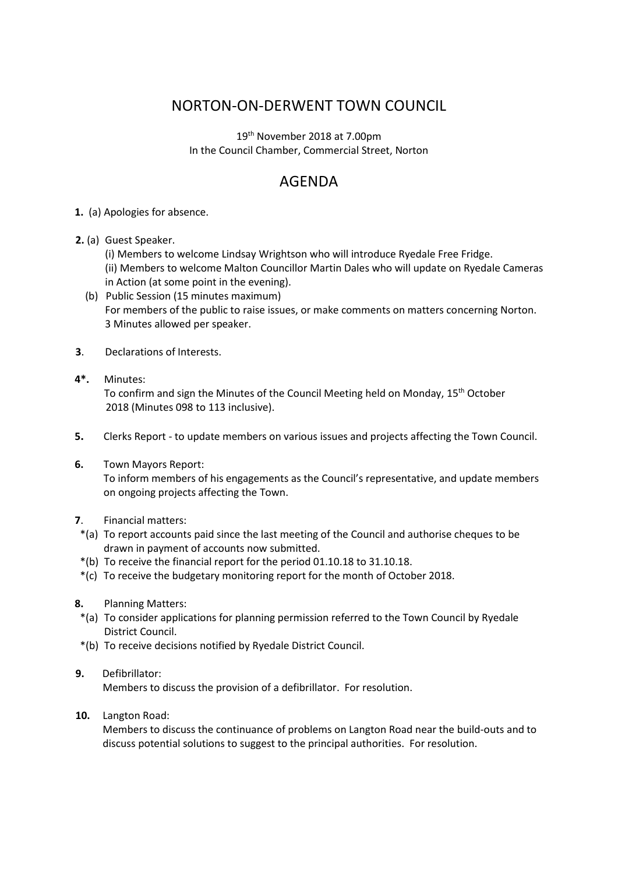## NORTON-ON-DERWENT TOWN COUNCIL

19th November 2018 at 7.00pm In the Council Chamber, Commercial Street, Norton

## AGENDA

## **1.** (a) Apologies for absence.

- **2.** (a) Guest Speaker.
	- (i) Members to welcome Lindsay Wrightson who will introduce Ryedale Free Fridge.
	- (ii) Members to welcome Malton Councillor Martin Dales who will update on Ryedale Cameras in Action (at some point in the evening).
	- (b) Public Session (15 minutes maximum) For members of the public to raise issues, or make comments on matters concerning Norton. 3 Minutes allowed per speaker.
- **3**. Declarations of Interests.
- **4\*.** Minutes:

 To confirm and sign the Minutes of the Council Meeting held on Monday, 15th October 2018 (Minutes 098 to 113 inclusive).

- **5.** Clerks Report to update members on various issues and projects affecting the Town Council.
- **6.** Town Mayors Report: To inform members of his engagements as the Council's representative, and update members on ongoing projects affecting the Town.

## **7**. Financial matters:

- \*(a) To report accounts paid since the last meeting of the Council and authorise cheques to be drawn in payment of accounts now submitted.
- \*(b) To receive the financial report for the period 01.10.18 to 31.10.18.
- \*(c) To receive the budgetary monitoring report for the month of October 2018.
- **8.** Planning Matters:
- \*(a) To consider applications for planning permission referred to the Town Council by Ryedale District Council.
- \*(b) To receive decisions notified by Ryedale District Council.
- **9.** Defibrillator:

Members to discuss the provision of a defibrillator. For resolution.

**10.** Langton Road:

Members to discuss the continuance of problems on Langton Road near the build-outs and to discuss potential solutions to suggest to the principal authorities. For resolution.